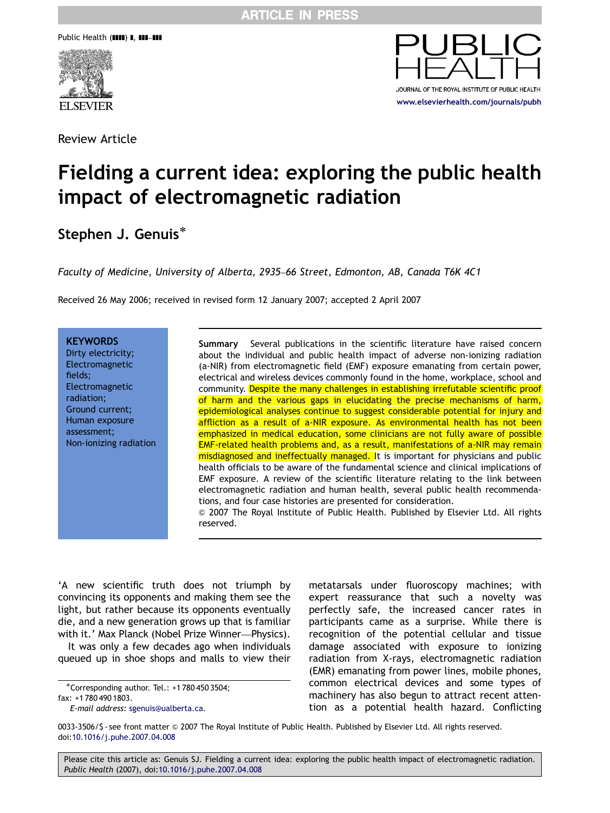Public Health (IIII) I, III-III



Review Article



# Fielding a current idea: exploring the public health impact of electromagnetic radiation

## Stephen J. Genuis<sup>\*</sup>

Faculty of Medicine, University of Alberta, 2935–66 Street, Edmonton, AB, Canada T6K 4C1

Received 26 May 2006; received in revised form 12 January 2007; accepted 2 April 2007

**KEYWORDS** Dirty electricity; Electromagnetic fields; Electromagnetic radiation; Ground current; Human exposure assessment; Non-ionizing radiation

Summary Several publications in the scientific literature have raised concern about the individual and public health impact of adverse non-ionizing radiation (a-NIR) from electromagnetic field (EMF) exposure emanating from certain power, electrical and wireless devices commonly found in the home, workplace, school and community. Despite the many challenges in establishing irrefutable scientific proof of harm and the various gaps in elucidating the precise mechanisms of harm, epidemiological analyses continue to suggest considerable potential for injury and affliction as a result of a-NIR exposure. As environmental health has not been emphasized in medical education, some clinicians are not fully aware of possible EMF-related health problems and, as a result, manifestations of a-NIR may remain misdiagnosed and ineffectually managed. It is important for physicians and public health officials to be aware of the fundamental science and clinical implications of EMF exposure. A review of the scientific literature relating to the link between electromagnetic radiation and human health, several public health recommendations, and four case histories are presented for consideration. & 2007 The Royal Institute of Public Health. Published by Elsevier Ltd. All rights reserved.

'A new scientific truth does not triumph by convincing its opponents and making them see the light, but rather because its opponents eventually die, and a new generation grows up that is familiar with it.' Max Planck (Nobel Prize Winner—Physics).

It was only a few decades ago when individuals queued up in shoe shops and malls to view their

metatarsals under fluoroscopy machines; with expert reassurance that such a novelty was perfectly safe, the increased cancer rates in participants came as a surprise. While there is recognition of the potential cellular and tissue damage associated with exposure to ionizing radiation from X-rays, electromagnetic radiation (EMR) emanating from power lines, mobile phones, common electrical devices and some types of machinery has also begun to attract recent attention as a potential health hazard. Conflicting

0033-3506/\$ - see front matter @ 2007 The Royal Institute of Public Health. Published by Elsevier Ltd. All rights reserved. doi[:10.1016/j.puhe.2007.04.008](dx.doi.org/10.1016/j.puhe.2007.04.008)

<sup>-</sup>Corresponding author. Tel.: +1 780 450 3504; fax: +1 780 490 1803.

E-mail address: [sgenuis@ualberta.ca.](mailto:sgenuis@ualberta.ca)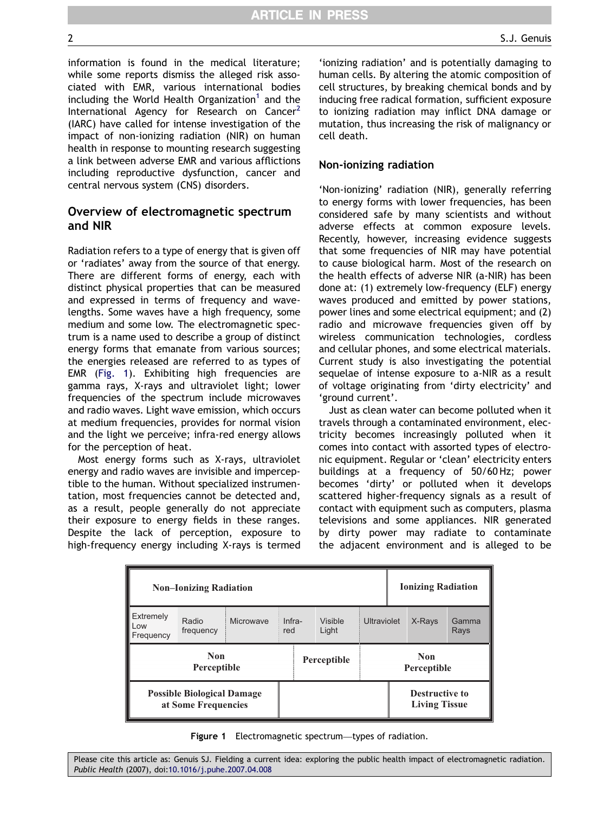information is found in the medical literature; while some reports dismiss the alleged risk associated with EMR, various international bodies including the World Health Organization<sup>[1](#page-8-0)</sup> and the International Agency for Research on Cancer<sup>[2](#page-8-0)</sup> (IARC) have called for intense investigation of the impact of non-ionizing radiation (NIR) on human health in response to mounting research suggesting a link between adverse EMR and various afflictions including reproductive dysfunction, cancer and central nervous system (CNS) disorders.

## Overview of electromagnetic spectrum and NIR

Radiation refers to a type of energy that is given off or 'radiates' away from the source of that energy. There are different forms of energy, each with distinct physical properties that can be measured and expressed in terms of frequency and wavelengths. Some waves have a high frequency, some medium and some low. The electromagnetic spectrum is a name used to describe a group of distinct energy forms that emanate from various sources; the energies released are referred to as types of EMR (Fig. 1). Exhibiting high frequencies are gamma rays, X-rays and ultraviolet light; lower frequencies of the spectrum include microwaves and radio waves. Light wave emission, which occurs at medium frequencies, provides for normal vision and the light we perceive; infra-red energy allows for the perception of heat.

Most energy forms such as X-rays, ultraviolet energy and radio waves are invisible and imperceptible to the human. Without specialized instrumentation, most frequencies cannot be detected and, as a result, people generally do not appreciate their exposure to energy fields in these ranges. Despite the lack of perception, exposure to high-frequency energy including X-rays is termed

'ionizing radiation' and is potentially damaging to human cells. By altering the atomic composition of cell structures, by breaking chemical bonds and by inducing free radical formation, sufficient exposure to ionizing radiation may inflict DNA damage or mutation, thus increasing the risk of malignancy or cell death.

#### Non-ionizing radiation

'Non-ionizing' radiation (NIR), generally referring to energy forms with lower frequencies, has been considered safe by many scientists and without adverse effects at common exposure levels. Recently, however, increasing evidence suggests that some frequencies of NIR may have potential to cause biological harm. Most of the research on the health effects of adverse NIR (a-NIR) has been done at: (1) extremely low-frequency (ELF) energy waves produced and emitted by power stations, power lines and some electrical equipment; and (2) radio and microwave frequencies given off by wireless communication technologies, cordless and cellular phones, and some electrical materials. Current study is also investigating the potential sequelae of intense exposure to a-NIR as a result of voltage originating from 'dirty electricity' and 'ground current'.

Just as clean water can become polluted when it travels through a contaminated environment, electricity becomes increasingly polluted when it comes into contact with assorted types of electronic equipment. Regular or 'clean' electricity enters buildings at a frequency of 50/60 Hz; power becomes 'dirty' or polluted when it develops scattered higher-frequency signals as a result of contact with equipment such as computers, plasma televisions and some appliances. NIR generated by dirty power may radiate to contaminate the adjacent environment and is alleged to be

| <b>Non-Ionizing Radiation</b>                            |                    |           |               |             |                  |                           | <b>Ionizing Radiation</b> |                                               |               |
|----------------------------------------------------------|--------------------|-----------|---------------|-------------|------------------|---------------------------|---------------------------|-----------------------------------------------|---------------|
| Extremely<br>Low<br>Frequency                            | Radio<br>frequency | Microwave | Infra-<br>red |             | Visible<br>Light | Ultraviolet               |                           | X-Rays                                        | Gamma<br>Rays |
| <b>Non</b><br><b>Perceptible</b>                         |                    |           |               | Perceptible |                  | <b>Non</b><br>Perceptible |                           |                                               |               |
| <b>Possible Biological Damage</b><br>at Some Frequencies |                    |           |               |             |                  |                           |                           | <b>Destructive to</b><br><b>Living Tissue</b> |               |

Figure 1 Electromagnetic spectrum—types of radiation.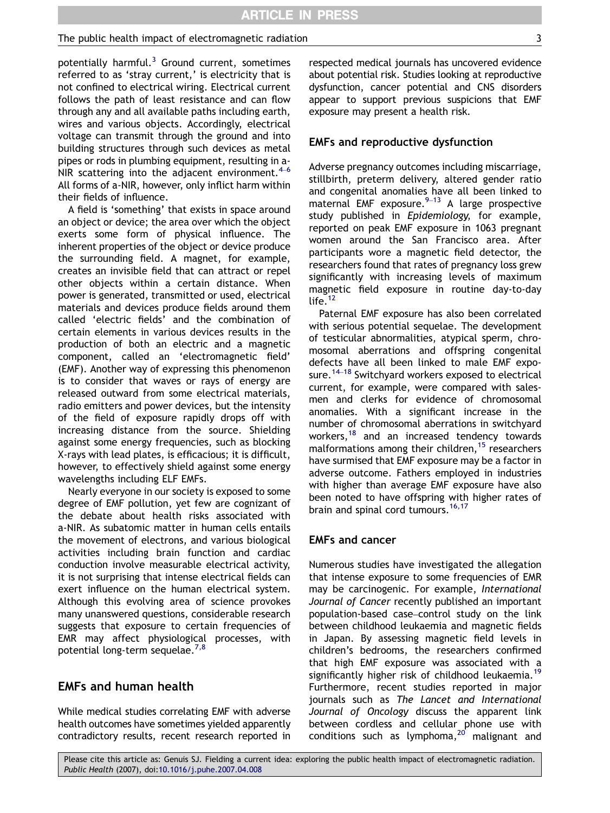#### The public health impact of electromagnetic radiation 3

potentially harmful. $3$  Ground current, sometimes referred to as 'stray current,' is electricity that is not confined to electrical wiring. Electrical current follows the path of least resistance and can flow through any and all available paths including earth, wires and various objects. Accordingly, electrical voltage can transmit through the ground and into building structures through such devices as metal pipes or rods in plumbing equipment, resulting in a-NIR scattering into the adjacent environment. $4-6$  $4-6$ All forms of a-NIR, however, only inflict harm within their fields of influence.

A field is 'something' that exists in space around an object or device; the area over which the object exerts some form of physical influence. The inherent properties of the object or device produce the surrounding field. A magnet, for example, creates an invisible field that can attract or repel other objects within a certain distance. When power is generated, transmitted or used, electrical materials and devices produce fields around them called 'electric fields' and the combination of certain elements in various devices results in the production of both an electric and a magnetic component, called an 'electromagnetic field' (EMF). Another way of expressing this phenomenon is to consider that waves or rays of energy are released outward from some electrical materials, radio emitters and power devices, but the intensity of the field of exposure rapidly drops off with increasing distance from the source. Shielding against some energy frequencies, such as blocking X-rays with lead plates, is efficacious; it is difficult, however, to effectively shield against some energy wavelengths including ELF EMFs.

Nearly everyone in our society is exposed to some degree of EMF pollution, yet few are cognizant of the debate about health risks associated with a-NIR. As subatomic matter in human cells entails the movement of electrons, and various biological activities including brain function and cardiac conduction involve measurable electrical activity, it is not surprising that intense electrical fields can exert influence on the human electrical system. Although this evolving area of science provokes many unanswered questions, considerable research suggests that exposure to certain frequencies of EMR may affect physiological processes, with potential long-term sequelae.<sup>[7,8](#page-8-0)</sup>

## EMFs and human health

While medical studies correlating EMF with adverse health outcomes have sometimes yielded apparently contradictory results, recent research reported in respected medical journals has uncovered evidence about potential risk. Studies looking at reproductive dysfunction, cancer potential and CNS disorders appear to support previous suspicions that EMF exposure may present a health risk.

#### EMFs and reproductive dysfunction

Adverse pregnancy outcomes including miscarriage, stillbirth, preterm delivery, altered gender ratio and congenital anomalies have all been linked to maternal EMF exposure. $9-13$  $9-13$  A large prospective study published in Epidemiology, for example, reported on peak EMF exposure in 1063 pregnant women around the San Francisco area. After participants wore a magnetic field detector, the researchers found that rates of pregnancy loss grew significantly with increasing levels of maximum magnetic field exposure in routine day-to-day life. $12$ 

Paternal EMF exposure has also been correlated with serious potential sequelae. The development of testicular abnormalities, atypical sperm, chromosomal aberrations and offspring congenital defects have all been linked to male EMF expo-sure.<sup>[14](#page-9-0)–18</sup> Switchyard workers exposed to electrical current, for example, were compared with salesmen and clerks for evidence of chromosomal anomalies. With a significant increase in the number of chromosomal aberrations in switchyard workers, $18$  and an increased tendency towards malformations among their children,<sup>[15](#page-9-0)</sup> researchers have surmised that EMF exposure may be a factor in adverse outcome. Fathers employed in industries with higher than average EMF exposure have also been noted to have offspring with higher rates of brain and spinal cord tumours.<sup>[16,17](#page-9-0)</sup>

#### EMFs and cancer

Numerous studies have investigated the allegation that intense exposure to some frequencies of EMR may be carcinogenic. For example, International Journal of Cancer recently published an important population-based case–control study on the link between childhood leukaemia and magnetic fields in Japan. By assessing magnetic field levels in children's bedrooms, the researchers confirmed that high EMF exposure was associated with a significantly higher risk of childhood leukaemia.<sup>[19](#page-9-0)</sup> Furthermore, recent studies reported in major journals such as The Lancet and International Journal of Oncology discuss the apparent link between cordless and cellular phone use with conditions such as lymphoma, $20'$  $20'$  malignant and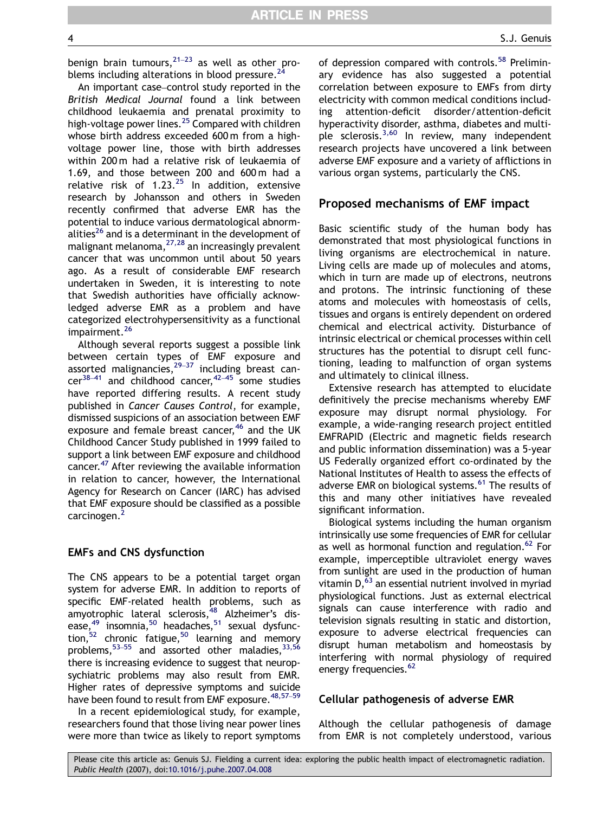An important case–control study reported in the British Medical Journal found a link between childhood leukaemia and prenatal proximity to high-voltage power lines.<sup>[25](#page-9-0)</sup> Compared with children whose birth address exceeded 600 m from a highvoltage power line, those with birth addresses within 200 m had a relative risk of leukaemia of 1.69, and those between 200 and 600 m had a relative risk of  $1.23^{25}$  $1.23^{25}$  $1.23^{25}$  In addition, extensive research by Johansson and others in Sweden recently confirmed that adverse EMR has the potential to induce various dermatological abnorm-alities<sup>[26](#page-9-0)</sup> and is a determinant in the development of malignant melanoma, $27,28$  an increasingly prevalent cancer that was uncommon until about 50 years ago. As a result of considerable EMF research undertaken in Sweden, it is interesting to note that Swedish authorities have officially acknowledged adverse EMR as a problem and have categorized electrohypersensitivity as a functional impairment.<sup>[26](#page-9-0)</sup>

Although several reports suggest a possible link between certain types of EMF exposure and  $\frac{1}{2}$  between terrain types of  $\frac{29-37}{2}$  $\frac{29-37}{2}$  $\frac{29-37}{2}$  including breast can- $cer^{38-41}$  $cer^{38-41}$  $cer^{38-41}$  and childhood cancer,  $42-45$  $42-45$  some studies have reported differing results. A recent study published in Cancer Causes Control, for example, dismissed suspicions of an association between EMF exposure and female breast cancer,<sup>[46](#page-10-0)</sup> and the UK Childhood Cancer Study published in 1999 failed to support a link between EMF exposure and childhood cancer.[47](#page-10-0) After reviewing the available information in relation to cancer, however, the International Agency for Research on Cancer (IARC) has advised that EMF exposure should be classified as a possible carcinogen.<sup>[2](#page-8-0)</sup>

#### EMFs and CNS dysfunction

The CNS appears to be a potential target organ system for adverse EMR. In addition to reports of specific EMF-related health problems, such as amyotrophic lateral sclerosis,<sup>48</sup> Alzheimer's disease, $49$  insomnia, $50$  headaches, $51$  sexual dysfunction, $52$  chronic fatigue, $50$  learning and memory problems,  $53-55$  $53-55$  and assorted other maladies,  $33,56$ there is increasing evidence to suggest that neuropsychiatric problems may also result from EMR. Higher rates of depressive symptoms and suicide have been found to result from EMF exposure.<sup>48,57-59</sup>

In a recent epidemiological study, for example, researchers found that those living near power lines were more than twice as likely to report symptoms of depression compared with controls.<sup>[58](#page-10-0)</sup> Preliminary evidence has also suggested a potential correlation between exposure to EMFs from dirty electricity with common medical conditions including attention-deficit disorder/attention-deficit hyperactivity disorder, asthma, diabetes and multi-ple sclerosis.<sup>[3,60](#page-8-0)</sup> In review, many independent research projects have uncovered a link between adverse EMF exposure and a variety of afflictions in various organ systems, particularly the CNS.

## Proposed mechanisms of EMF impact

Basic scientific study of the human body has demonstrated that most physiological functions in living organisms are electrochemical in nature. Living cells are made up of molecules and atoms, which in turn are made up of electrons, neutrons and protons. The intrinsic functioning of these atoms and molecules with homeostasis of cells, tissues and organs is entirely dependent on ordered chemical and electrical activity. Disturbance of intrinsic electrical or chemical processes within cell structures has the potential to disrupt cell functioning, leading to malfunction of organ systems and ultimately to clinical illness.

Extensive research has attempted to elucidate definitively the precise mechanisms whereby EMF exposure may disrupt normal physiology. For example, a wide-ranging research project entitled EMFRAPID (Electric and magnetic fields research and public information dissemination) was a 5-year US Federally organized effort co-ordinated by the National Institutes of Health to assess the effects of adverse EMR on biological systems.<sup>[61](#page-10-0)</sup> The results of this and many other initiatives have revealed significant information.

Biological systems including the human organism intrinsically use some frequencies of EMR for cellular as well as hormonal function and regulation.<sup>[62](#page-10-0)</sup> For example, imperceptible ultraviolet energy waves from sunlight are used in the production of human vitamin  $D<sub>1</sub><sup>63</sup>$  an essential nutrient involved in myriad physiological functions. Just as external electrical signals can cause interference with radio and television signals resulting in static and distortion, exposure to adverse electrical frequencies can disrupt human metabolism and homeostasis by interfering with normal physiology of required energy frequencies.<sup>62</sup>

#### Cellular pathogenesis of adverse EMR

Although the cellular pathogenesis of damage from EMR is not completely understood, various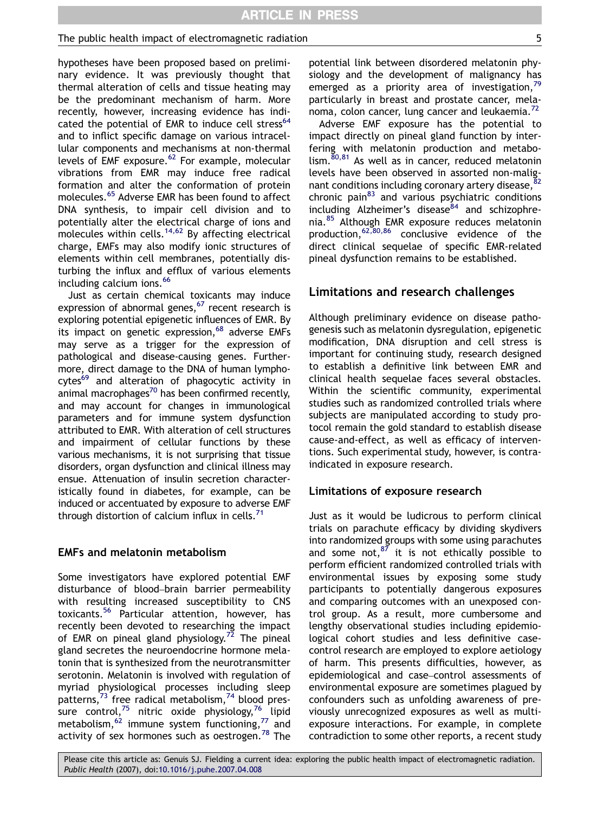#### The public health impact of electromagnetic radiation  $\qquad \qquad$  5

hypotheses have been proposed based on preliminary evidence. It was previously thought that thermal alteration of cells and tissue heating may be the predominant mechanism of harm. More recently, however, increasing evidence has indi-cated the potential of EMR to induce cell stress<sup>[64](#page-10-0)</sup> and to inflict specific damage on various intracellular components and mechanisms at non-thermal levels of EMF exposure. $62$  For example, molecular vibrations from EMR may induce free radical formation and alter the conformation of protein molecules.<sup>[65](#page-10-0)</sup> Adverse EMR has been found to affect DNA synthesis, to impair cell division and to potentially alter the electrical charge of ions and molecules within cells.<sup>[14,62](#page-9-0)</sup> By affecting electrical charge, EMFs may also modify ionic structures of elements within cell membranes, potentially disturbing the influx and efflux of various elements including calcium ions.<sup>[66](#page-10-0)</sup>

Just as certain chemical toxicants may induce expression of abnormal genes, $67$  recent research is exploring potential epigenetic influences of EMR. By its impact on genetic expression,  $68$  adverse EMFs may serve as a trigger for the expression of pathological and disease-causing genes. Furthermore, direct damage to the DNA of human lymphocytes<sup>69</sup> and alteration of phagocytic activity in  $\frac{1}{2}$ animal macrophages<sup>70</sup> has been confirmed recently, and may account for changes in immunological parameters and for immune system dysfunction attributed to EMR. With alteration of cell structures and impairment of cellular functions by these various mechanisms, it is not surprising that tissue disorders, organ dysfunction and clinical illness may ensue. Attenuation of insulin secretion characteristically found in diabetes, for example, can be induced or accentuated by exposure to adverse EMF through distortion of calcium influx in cells.<sup>71</sup>

#### EMFs and melatonin metabolism

Some investigators have explored potential EMF disturbance of blood–brain barrier permeability with resulting increased susceptibility to CNS toxicants.[56](#page-10-0) Particular attention, however, has recently been devoted to researching the impact of EMR on pineal gland physiology.<sup>[72](#page-10-0)</sup> The pineal gland secretes the neuroendocrine hormone melatonin that is synthesized from the neurotransmitter serotonin. Melatonin is involved with regulation of myriad physiological processes including sleep patterns,<sup>[73](#page-10-0)</sup> free radical metabolism,<sup>[74](#page-10-0)</sup> blood pres-sure control,<sup>[75](#page-10-0)</sup> nitric oxide physiology,<sup>[76](#page-10-0)</sup> lipid metabolism,  $62$  immune system functioning,  $77$  and activity of sex hormones such as oestrogen.<sup>[78](#page-10-0)</sup> The

potential link between disordered melatonin physiology and the development of malignancy has emerged as a priority area of investigation, $^{79}$  $^{79}$  $^{79}$ particularly in breast and prostate cancer, mela-noma, colon cancer, lung cancer and leukaemia.<sup>[72](#page-10-0)</sup>

Adverse EMF exposure has the potential to impact directly on pineal gland function by interfering with melatonin production and metabo- $\lim_{n \to \infty}$  [80,81](#page-11-0) As well as in cancer, reduced melatonin levels have been observed in assorted non-malignant conditions including coronary artery disease,<sup>8</sup> chronic pain $83$  and various psychiatric conditions  $including$  Alzheimer's disease $84$  and schizophrenia.[85](#page-11-0) Although EMR exposure reduces melatonin production,[62,80,86](#page-10-0) conclusive evidence of the direct clinical sequelae of specific EMR-related pineal dysfunction remains to be established.

## Limitations and research challenges

Although preliminary evidence on disease pathogenesis such as melatonin dysregulation, epigenetic modification, DNA disruption and cell stress is important for continuing study, research designed to establish a definitive link between EMR and clinical health sequelae faces several obstacles. Within the scientific community, experimental studies such as randomized controlled trials where subjects are manipulated according to study protocol remain the gold standard to establish disease cause-and-effect, as well as efficacy of interventions. Such experimental study, however, is contraindicated in exposure research.

#### Limitations of exposure research

Just as it would be ludicrous to perform clinical trials on parachute efficacy by dividing skydivers into randomized groups with some using parachutes and some not, $^{87}$  $^{87}$  $^{87}$  it is not ethically possible to perform efficient randomized controlled trials with environmental issues by exposing some study participants to potentially dangerous exposures and comparing outcomes with an unexposed control group. As a result, more cumbersome and lengthy observational studies including epidemiological cohort studies and less definitive casecontrol research are employed to explore aetiology of harm. This presents difficulties, however, as epidemiological and case–control assessments of environmental exposure are sometimes plagued by confounders such as unfolding awareness of previously unrecognized exposures as well as multiexposure interactions. For example, in complete contradiction to some other reports, a recent study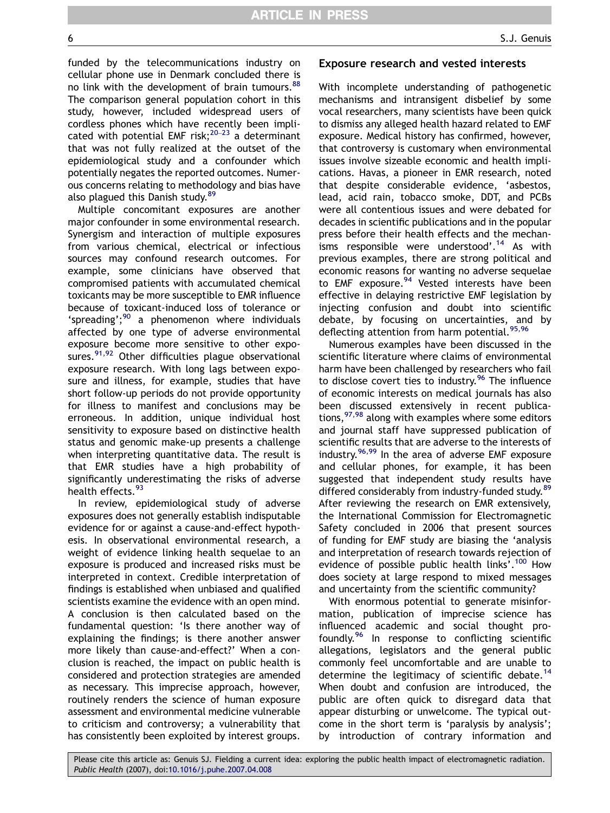funded by the telecommunications industry on cellular phone use in Denmark concluded there is no link with the development of brain tumours.<sup>[88](#page-11-0)</sup> The comparison general population cohort in this study, however, included widespread users of cordless phones which have recently been implicated with potential EMF risk; $^{20-23}$  $^{20-23}$  $^{20-23}$  a determinant that was not fully realized at the outset of the epidemiological study and a confounder which potentially negates the reported outcomes. Numerous concerns relating to methodology and bias have also plagued this Danish study.<sup>[89](#page-11-0)</sup>

Multiple concomitant exposures are another major confounder in some environmental research. Synergism and interaction of multiple exposures from various chemical, electrical or infectious sources may confound research outcomes. For example, some clinicians have observed that compromised patients with accumulated chemical toxicants may be more susceptible to EMR influence because of toxicant-induced loss of tolerance or 'spreading'; $90$  a phenomenon where individuals affected by one type of adverse environmental exposure become more sensitive to other exposures. $91,92$  Other difficulties plague observational exposure research. With long lags between exposure and illness, for example, studies that have short follow-up periods do not provide opportunity for illness to manifest and conclusions may be erroneous. In addition, unique individual host sensitivity to exposure based on distinctive health status and genomic make-up presents a challenge when interpreting quantitative data. The result is that EMR studies have a high probability of significantly underestimating the risks of adverse health effects.<sup>[93](#page-11-0)</sup>

In review, epidemiological study of adverse exposures does not generally establish indisputable evidence for or against a cause-and-effect hypothesis. In observational environmental research, a weight of evidence linking health sequelae to an exposure is produced and increased risks must be interpreted in context. Credible interpretation of findings is established when unbiased and qualified scientists examine the evidence with an open mind. A conclusion is then calculated based on the fundamental question: 'Is there another way of explaining the findings; is there another answer more likely than cause-and-effect?' When a conclusion is reached, the impact on public health is considered and protection strategies are amended as necessary. This imprecise approach, however, routinely renders the science of human exposure assessment and environmental medicine vulnerable to criticism and controversy; a vulnerability that has consistently been exploited by interest groups.

#### Exposure research and vested interests

With incomplete understanding of pathogenetic mechanisms and intransigent disbelief by some vocal researchers, many scientists have been quick to dismiss any alleged health hazard related to EMF exposure. Medical history has confirmed, however, that controversy is customary when environmental issues involve sizeable economic and health implications. Havas, a pioneer in EMR research, noted that despite considerable evidence, 'asbestos, lead, acid rain, tobacco smoke, DDT, and PCBs were all contentious issues and were debated for decades in scientific publications and in the popular press before their health effects and the mechan-isms responsible were understood'.<sup>[14](#page-9-0)</sup> As with previous examples, there are strong political and economic reasons for wanting no adverse sequelae to EMF exposure.<sup>94</sup> Vested interests have been effective in delaying restrictive EMF legislation by injecting confusion and doubt into scientific debate, by focusing on uncertainties, and by deflecting attention from harm potential.<sup>[95,96](#page-11-0)</sup>

Numerous examples have been discussed in the scientific literature where claims of environmental harm have been challenged by researchers who fail to disclose covert ties to industry.<sup>[96](#page-11-0)</sup> The influence of economic interests on medical journals has also been discussed extensively in recent publica-tions,<sup>[97,98](#page-11-0)</sup> along with examples where some editors and journal staff have suppressed publication of scientific results that are adverse to the interests of industry.<sup>[96,99](#page-11-0)</sup> In the area of adverse EMF exposure and cellular phones, for example, it has been suggested that independent study results have differed considerably from industry-funded study.<sup>[89](#page-11-0)</sup> After reviewing the research on EMR extensively, the International Commission for Electromagnetic Safety concluded in 2006 that present sources of funding for EMF study are biasing the 'analysis and interpretation of research towards rejection of evidence of possible public health links'.<sup>[100](#page-11-0)</sup> How does society at large respond to mixed messages and uncertainty from the scientific community?

With enormous potential to generate misinformation, publication of imprecise science has influenced academic and social thought profoundly.[96](#page-11-0) In response to conflicting scientific allegations, legislators and the general public commonly feel uncomfortable and are unable to determine the legitimacy of scientific debate.<sup>[14](#page-9-0)</sup> When doubt and confusion are introduced, the public are often quick to disregard data that appear disturbing or unwelcome. The typical outcome in the short term is 'paralysis by analysis'; by introduction of contrary information and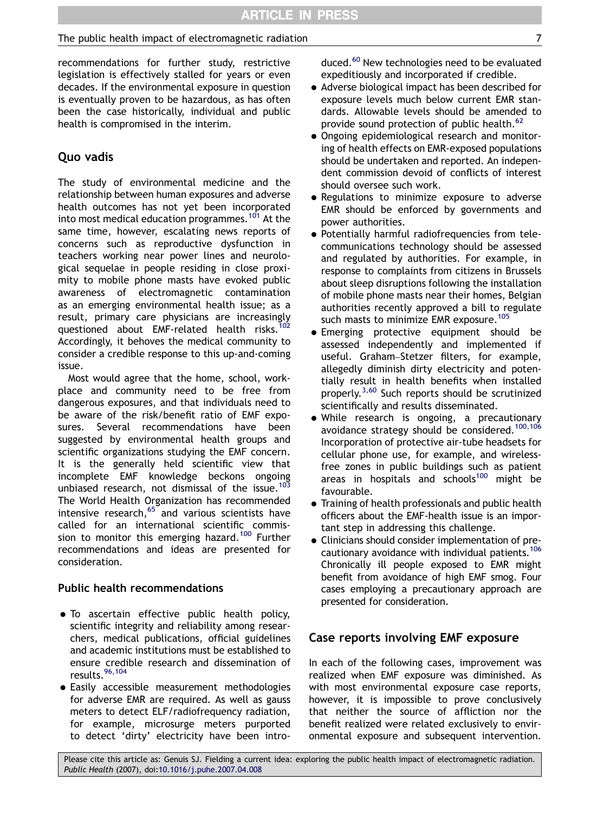## The public health impact of electromagnetic radiation  $\overline{7}$

recommendations for further study, restrictive legislation is effectively stalled for years or even decades. If the environmental exposure in question is eventually proven to be hazardous, as has often been the case historically, individual and public health is compromised in the interim.

## Quo vadis

The study of environmental medicine and the relationship between human exposures and adverse health outcomes has not yet been incorporated into most medical education programmes.<sup>[101](#page-11-0)</sup> At the same time, however, escalating news reports of concerns such as reproductive dysfunction in teachers working near power lines and neurological sequelae in people residing in close proximity to mobile phone masts have evoked public awareness of electromagnetic contamination as an emerging environmental health issue; as a result, primary care physicians are increasingly questioned about EMF-related health risks.<sup>102</sup> Accordingly, it behoves the medical community to consider a credible response to this up-and-coming issue.

Most would agree that the home, school, workplace and community need to be free from dangerous exposures, and that individuals need to be aware of the risk/benefit ratio of EMF exposures. Several recommendations have been suggested by environmental health groups and scientific organizations studying the EMF concern. It is the generally held scientific view that incomplete EMF knowledge beckons ongoing unbiased research, not dismissal of the issue.<sup>[103](#page-11-0)</sup> The World Health Organization has recommended intensive research, $65$  and various scientists have called for an international scientific commis-sion to monitor this emerging hazard.<sup>[100](#page-11-0)</sup> Further recommendations and ideas are presented for consideration.

## Public health recommendations

- . To ascertain effective public health policy, scientific integrity and reliability among researchers, medical publications, official guidelines and academic institutions must be established to ensure credible research and dissemination of results.[96,104](#page-11-0)
- Easily accessible measurement methodologies for adverse EMR are required. As well as gauss meters to detect ELF/radiofrequency radiation, for example, microsurge meters purported to detect 'dirty' electricity have been intro-

duced.<sup>[60](#page-10-0)</sup> New technologies need to be evaluated expeditiously and incorporated if credible.

- $\bullet$  Adverse biological impact has been described for exposure levels much below current EMR standards. Allowable levels should be amended to provide sound protection of public health.<sup>[62](#page-10-0)</sup>
- Ongoing epidemiological research and monitoring of health effects on EMR-exposed populations should be undertaken and reported. An independent commission devoid of conflicts of interest should oversee such work.
- Regulations to minimize exposure to adverse EMR should be enforced by governments and power authorities.
- Potentially harmful radiofrequencies from telecommunications technology should be assessed and regulated by authorities. For example, in response to complaints from citizens in Brussels about sleep disruptions following the installation of mobile phone masts near their homes, Belgian authorities recently approved a bill to regulate such masts to minimize EMR exposure.<sup>[105](#page-11-0)</sup>
- Emerging protective equipment should be assessed independently and implemented if useful. Graham–Stetzer filters, for example, allegedly diminish dirty electricity and potentially result in health benefits when installed properly.[3,60](#page-8-0) Such reports should be scrutinized scientifically and results disseminated.
- While research is ongoing, a precautionary avoidance strategy should be considered.<sup>[100,106](#page-11-0)</sup> Incorporation of protective air-tube headsets for cellular phone use, for example, and wirelessfree zones in public buildings such as patient areas in hospitals and schools $100$  might be favourable.
- $\bullet$  Training of health professionals and public health officers about the EMF-health issue is an important step in addressing this challenge.
- Clinicians should consider implementation of precautionary avoidance with individual patients.<sup>106</sup> Chronically ill people exposed to EMR might benefit from avoidance of high EMF smog. Four cases employing a precautionary approach are presented for consideration.

## Case reports involving EMF exposure

In each of the following cases, improvement was realized when EMF exposure was diminished. As with most environmental exposure case reports, however, it is impossible to prove conclusively that neither the source of affliction nor the benefit realized were related exclusively to environmental exposure and subsequent intervention.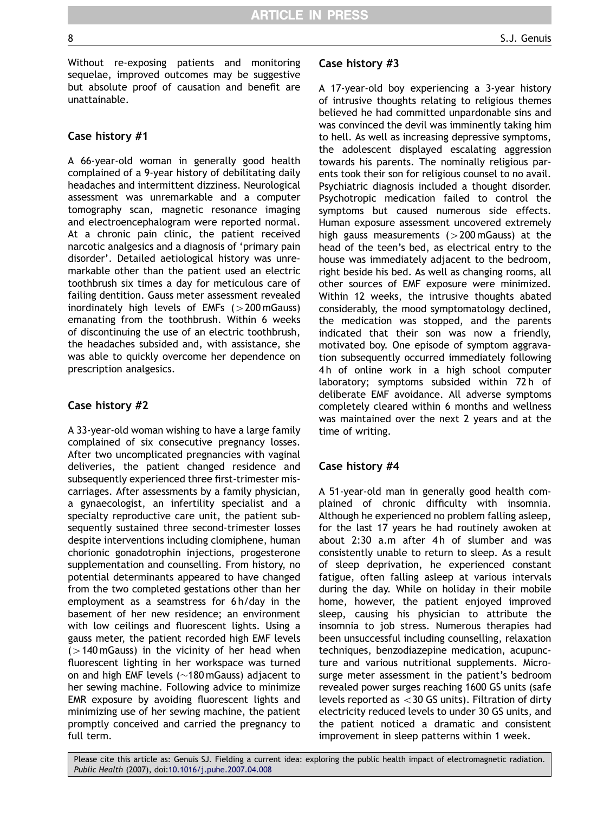Without re-exposing patients and monitoring sequelae, improved outcomes may be suggestive but absolute proof of causation and benefit are unattainable.

## Case history #1

A 66-year-old woman in generally good health complained of a 9-year history of debilitating daily headaches and intermittent dizziness. Neurological assessment was unremarkable and a computer tomography scan, magnetic resonance imaging and electroencephalogram were reported normal. At a chronic pain clinic, the patient received narcotic analgesics and a diagnosis of 'primary pain disorder'. Detailed aetiological history was unremarkable other than the patient used an electric toothbrush six times a day for meticulous care of failing dentition. Gauss meter assessment revealed inordinately high levels of EMFs  $(>200 \text{ mGauss})$ emanating from the toothbrush. Within 6 weeks of discontinuing the use of an electric toothbrush, the headaches subsided and, with assistance, she was able to quickly overcome her dependence on prescription analgesics.

## Case history #2

A 33-year-old woman wishing to have a large family complained of six consecutive pregnancy losses. After two uncomplicated pregnancies with vaginal deliveries, the patient changed residence and subsequently experienced three first-trimester miscarriages. After assessments by a family physician, a gynaecologist, an infertility specialist and a specialty reproductive care unit, the patient subsequently sustained three second-trimester losses despite interventions including clomiphene, human chorionic gonadotrophin injections, progesterone supplementation and counselling. From history, no potential determinants appeared to have changed from the two completed gestations other than her employment as a seamstress for 6 h/day in the basement of her new residence; an environment with low ceilings and fluorescent lights. Using a gauss meter, the patient recorded high EMF levels  $(>140 \text{ mGauss})$  in the vicinity of her head when fluorescent lighting in her workspace was turned on and high EMF levels ( $\sim$ 180 mGauss) adjacent to her sewing machine. Following advice to minimize EMR exposure by avoiding fluorescent lights and minimizing use of her sewing machine, the patient promptly conceived and carried the pregnancy to full term.

#### Case history #3

A 17-year-old boy experiencing a 3-year history of intrusive thoughts relating to religious themes believed he had committed unpardonable sins and was convinced the devil was imminently taking him to hell. As well as increasing depressive symptoms, the adolescent displayed escalating aggression towards his parents. The nominally religious parents took their son for religious counsel to no avail. Psychiatric diagnosis included a thought disorder. Psychotropic medication failed to control the symptoms but caused numerous side effects. Human exposure assessment uncovered extremely high gauss measurements  $(>200 \text{ mGauss})$  at the head of the teen's bed, as electrical entry to the house was immediately adjacent to the bedroom, right beside his bed. As well as changing rooms, all other sources of EMF exposure were minimized. Within 12 weeks, the intrusive thoughts abated considerably, the mood symptomatology declined, the medication was stopped, and the parents indicated that their son was now a friendly, motivated boy. One episode of symptom aggravation subsequently occurred immediately following 4h of online work in a high school computer laboratory; symptoms subsided within 72 h of deliberate EMF avoidance. All adverse symptoms completely cleared within 6 months and wellness was maintained over the next 2 years and at the time of writing.

## Case history #4

A 51-year-old man in generally good health complained of chronic difficulty with insomnia. Although he experienced no problem falling asleep, for the last 17 years he had routinely awoken at about 2:30 a.m after 4h of slumber and was consistently unable to return to sleep. As a result of sleep deprivation, he experienced constant fatigue, often falling asleep at various intervals during the day. While on holiday in their mobile home, however, the patient enjoyed improved sleep, causing his physician to attribute the insomnia to job stress. Numerous therapies had been unsuccessful including counselling, relaxation techniques, benzodiazepine medication, acupuncture and various nutritional supplements. Microsurge meter assessment in the patient's bedroom revealed power surges reaching 1600 GS units (safe levels reported as  $<$  30 GS units). Filtration of dirty electricity reduced levels to under 30 GS units, and the patient noticed a dramatic and consistent improvement in sleep patterns within 1 week.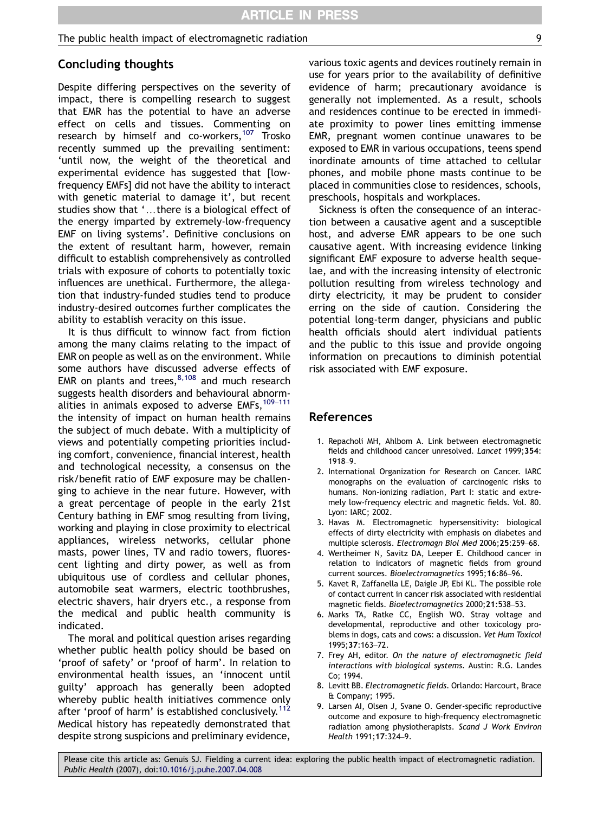#### <span id="page-8-0"></span>The public health impact of electromagnetic radiation  $\overline{9}$

## Concluding thoughts

Despite differing perspectives on the severity of impact, there is compelling research to suggest that EMR has the potential to have an adverse effect on cells and tissues. Commenting on research by himself and co-workers,<sup>[107](#page-11-0)</sup> Trosko recently summed up the prevailing sentiment: 'until now, the weight of the theoretical and experimental evidence has suggested that [lowfrequency EMFs] did not have the ability to interact with genetic material to damage it', but recent studies show that '...there is a biological effect of the energy imparted by extremely-low-frequency EMF on living systems'. Definitive conclusions on the extent of resultant harm, however, remain difficult to establish comprehensively as controlled trials with exposure of cohorts to potentially toxic influences are unethical. Furthermore, the allegation that industry-funded studies tend to produce industry-desired outcomes further complicates the ability to establish veracity on this issue.

It is thus difficult to winnow fact from fiction among the many claims relating to the impact of EMR on people as well as on the environment. While some authors have discussed adverse effects of EMR on plants and trees, $8,108$  and much research suggests health disorders and behavioural abnormalities in animals exposed to adverse EMFs,  $109-111$  $109-111$ the intensity of impact on human health remains the subject of much debate. With a multiplicity of views and potentially competing priorities including comfort, convenience, financial interest, health and technological necessity, a consensus on the risk/benefit ratio of EMF exposure may be challenging to achieve in the near future. However, with a great percentage of people in the early 21st Century bathing in EMF smog resulting from living, working and playing in close proximity to electrical appliances, wireless networks, cellular phone masts, power lines, TV and radio towers, fluorescent lighting and dirty power, as well as from ubiquitous use of cordless and cellular phones, automobile seat warmers, electric toothbrushes, electric shavers, hair dryers etc., a response from the medical and public health community is indicated.

The moral and political question arises regarding whether public health policy should be based on 'proof of safety' or 'proof of harm'. In relation to environmental health issues, an 'innocent until guilty' approach has generally been adopted whereby public health initiatives commence only after 'proof of harm' is established conclusively.<sup>[112](#page-11-0)</sup> Medical history has repeatedly demonstrated that despite strong suspicions and preliminary evidence,

various toxic agents and devices routinely remain in use for years prior to the availability of definitive evidence of harm; precautionary avoidance is generally not implemented. As a result, schools and residences continue to be erected in immediate proximity to power lines emitting immense EMR, pregnant women continue unawares to be exposed to EMR in various occupations, teens spend inordinate amounts of time attached to cellular phones, and mobile phone masts continue to be placed in communities close to residences, schools, preschools, hospitals and workplaces.

Sickness is often the consequence of an interaction between a causative agent and a susceptible host, and adverse EMR appears to be one such causative agent. With increasing evidence linking significant EMF exposure to adverse health sequelae, and with the increasing intensity of electronic pollution resulting from wireless technology and dirty electricity, it may be prudent to consider erring on the side of caution. Considering the potential long-term danger, physicians and public health officials should alert individual patients and the public to this issue and provide ongoing information on precautions to diminish potential risk associated with EMF exposure.

#### References

- 1. Repacholi MH, Ahlbom A. Link between electromagnetic fields and childhood cancer unresolved. Lancet 1999;354: 1918–9.
- 2. International Organization for Research on Cancer. IARC monographs on the evaluation of carcinogenic risks to humans. Non-ionizing radiation, Part I: static and extremely low-frequency electric and magnetic fields. Vol. 80. Lyon: IARC; 2002.
- 3. Havas M. Electromagnetic hypersensitivity: biological effects of dirty electricity with emphasis on diabetes and multiple sclerosis. Electromagn Biol Med 2006;25:259–68.
- 4. Wertheimer N, Savitz DA, Leeper E. Childhood cancer in relation to indicators of magnetic fields from ground current sources. Bioelectromagnetics 1995;16:86–96.
- 5. Kavet R, Zaffanella LE, Daigle JP, Ebi KL. The possible role of contact current in cancer risk associated with residential magnetic fields. Bioelectromagnetics 2000;21:538–53.
- 6. Marks TA, Ratke CC, English WO. Stray voltage and developmental, reproductive and other toxicology problems in dogs, cats and cows: a discussion. Vet Hum Toxicol 1995;37:163–72.
- 7. Frey AH, editor. On the nature of electromagnetic field interactions with biological systems. Austin: R.G. Landes Co; 1994.
- 8. Levitt BB. Electromagnetic fields. Orlando: Harcourt, Brace & Company; 1995.
- 9. Larsen AI, Olsen J, Svane O. Gender-specific reproductive outcome and exposure to high-frequency electromagnetic radiation among physiotherapists. Scand J Work Environ Health 1991;17:324–9.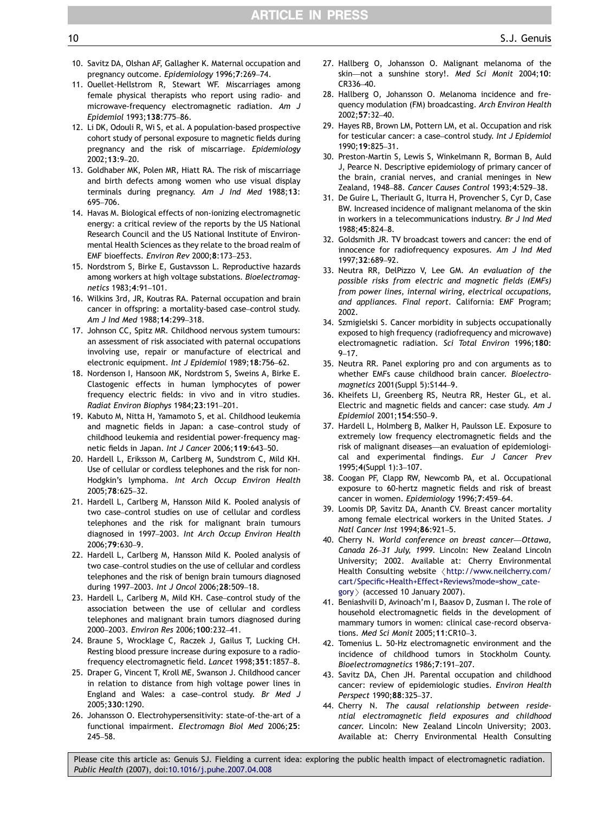- <span id="page-9-0"></span>10. Savitz DA, Olshan AF, Gallagher K. Maternal occupation and pregnancy outcome. Epidemiology 1996;7:269–74.
- 11. Ouellet-Hellstrom R, Stewart WF. Miscarriages among female physical therapists who report using radio- and microwave-frequency electromagnetic radiation. Am J Epidemiol 1993;138:775–86.
- 12. Li DK, Odouli R, Wi S, et al. A population-based prospective cohort study of personal exposure to magnetic fields during pregnancy and the risk of miscarriage. Epidemiology 2002;13:9–20.
- 13. Goldhaber MK, Polen MR, Hiatt RA. The risk of miscarriage and birth defects among women who use visual display terminals during pregnancy. Am J Ind Med 1988;13: 695–706.
- 14. Havas M. Biological effects of non-ionizing electromagnetic energy: a critical review of the reports by the US National Research Council and the US National Institute of Environmental Health Sciences as they relate to the broad realm of EMF bioeffects. Environ Rev 2000;8:173–253.
- 15. Nordstrom S, Birke E, Gustavsson L. Reproductive hazards among workers at high voltage substations. Bioelectromagnetics 1983;4:91–101.
- 16. Wilkins 3rd, JR, Koutras RA. Paternal occupation and brain cancer in offspring: a mortality-based case–control study. Am J Ind Med 1988;14:299–318.
- 17. Johnson CC, Spitz MR. Childhood nervous system tumours: an assessment of risk associated with paternal occupations involving use, repair or manufacture of electrical and electronic equipment. Int J Epidemiol 1989;18:756–62.
- 18. Nordenson I, Hansoon MK, Nordstrom S, Sweins A, Birke E. Clastogenic effects in human lymphocytes of power frequency electric fields: in vivo and in vitro studies. Radiat Environ Biophys 1984;23:191–201.
- 19. Kabuto M, Nitta H, Yamamoto S, et al. Childhood leukemia and magnetic fields in Japan: a case–control study of childhood leukemia and residential power-frequency magnetic fields in Japan. Int J Cancer 2006;119:643–50.
- 20. Hardell L, Eriksson M, Carlberg M, Sundstrom C, Mild KH. Use of cellular or cordless telephones and the risk for non-Hodgkin's lymphoma. Int Arch Occup Environ Health 2005;78:625–32.
- 21. Hardell L, Carlberg M, Hansson Mild K. Pooled analysis of two case–control studies on use of cellular and cordless telephones and the risk for malignant brain tumours diagnosed in 1997–2003. Int Arch Occup Environ Health 2006;79:630–9.
- 22. Hardell L, Carlberg M, Hansson Mild K. Pooled analysis of two case–control studies on the use of cellular and cordless telephones and the risk of benign brain tumours diagnosed during 1997–2003. Int J Oncol 2006;28:509–18.
- 23. Hardell L, Carlberg M, Mild KH. Case–control study of the association between the use of cellular and cordless telephones and malignant brain tumors diagnosed during 2000–2003. Environ Res 2006;100:232–41.
- 24. Braune S, Wrocklage C, Raczek J, Gailus T, Lucking CH. Resting blood pressure increase during exposure to a radiofrequency electromagnetic field. Lancet 1998;351:1857–8.
- 25. Draper G, Vincent T, Kroll ME, Swanson J. Childhood cancer in relation to distance from high voltage power lines in England and Wales: a case–control study. Br Med J 2005;330:1290.
- 26. Johansson O. Electrohypersensitivity: state-of-the-art of a functional impairment. Electromagn Biol Med 2006;25: 245–58.
- 27. Hallberg O, Johansson O. Malignant melanoma of the skin—not a sunshine story!. Med Sci Monit 2004;10: CR336–40.
- 28. Hallberg O, Johansson O. Melanoma incidence and frequency modulation (FM) broadcasting. Arch Environ Health 2002;57:32–40.
- 29. Hayes RB, Brown LM, Pottern LM, et al. Occupation and risk for testicular cancer: a case–control study. Int J Epidemiol 1990;19:825–31.
- 30. Preston-Martin S, Lewis S, Winkelmann R, Borman B, Auld J, Pearce N. Descriptive epidemiology of primary cancer of the brain, cranial nerves, and cranial meninges in New Zealand, 1948–88. Cancer Causes Control 1993;4:529–38.
- 31. De Guire L, Theriault G, Iturra H, Provencher S, Cyr D, Case BW. Increased incidence of malignant melanoma of the skin in workers in a telecommunications industry. Br J Ind Med 1988;45:824–8.
- 32. Goldsmith JR. TV broadcast towers and cancer: the end of innocence for radiofrequency exposures. Am J Ind Med 1997;32:689–92.
- 33. Neutra RR, DelPizzo V, Lee GM. An evaluation of the possible risks from electric and magnetic fields (EMFs) from power lines, internal wiring, electrical occupations, and appliances. Final report. California: EMF Program; 2002.
- 34. Szmigielski S. Cancer morbidity in subjects occupationally exposed to high frequency (radiofrequency and microwave) electromagnetic radiation. Sci Total Environ 1996;180:  $9 - 17$
- 35. Neutra RR. Panel exploring pro and con arguments as to whether EMFs cause childhood brain cancer. Bioelectromagnetics 2001(Suppl 5):S144–9.
- 36. Kheifets LI, Greenberg RS, Neutra RR, Hester GL, et al. Electric and magnetic fields and cancer: case study. Am J Epidemiol 2001;154:S50–9.
- 37. Hardell L, Holmberg B, Malker H, Paulsson LE. Exposure to extremely low frequency electromagnetic fields and the risk of malignant diseases—an evaluation of epidemiological and experimental findings. Eur J Cancer Prev 1995;4(Suppl 1):3–107.
- 38. Coogan PF, Clapp RW, Newcomb PA, et al. Occupational exposure to 60-hertz magnetic fields and risk of breast cancer in women. Epidemiology 1996;7:459–64.
- 39. Loomis DP, Savitz DA, Ananth CV. Breast cancer mortality among female electrical workers in the United States. J Natl Cancer Inst 1994;86:921–5.
- 40. Cherry N. World conference on breast cancer—Ottawa, Canada 26–31 July, 1999. Lincoln: New Zealand Lincoln University; 2002. Available at: Cherry Environmental Health Consulting website <[http://www.neilcherry.com/](http://www.neilcherry.com/cart/Specific+Health+Effect+Reviews?mode=show_category) [cart/Specific+Health+Effect+Reviews?mode=show\\_cate](http://www.neilcherry.com/cart/Specific+Health+Effect+Reviews?mode=show_category)[gory](http://www.neilcherry.com/cart/Specific+Health+Effect+Reviews?mode=show_category) $>$  (accessed 10 January 2007).
- 41. Beniashvili D, Avinoach'm I, Baasov D, Zusman I. The role of household electromagnetic fields in the development of mammary tumors in women: clinical case-record observations. Med Sci Monit 2005;11:CR10–3.
- 42. Tomenius L. 50-Hz electromagnetic environment and the incidence of childhood tumors in Stockholm County. Bioelectromagnetics 1986;7:191–207.
- 43. Savitz DA, Chen JH. Parental occupation and childhood cancer: review of epidemiologic studies. Environ Health Perspect 1990;88:325–37.
- 44. Cherry N. The causal relationship between residential electromagnetic field exposures and childhood cancer. Lincoln: New Zealand Lincoln University; 2003. Available at: Cherry Environmental Health Consulting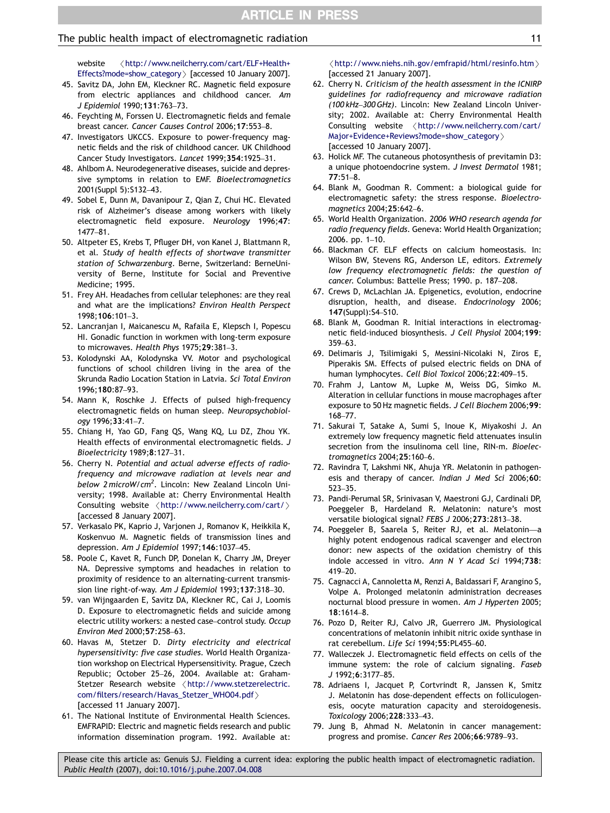#### <span id="page-10-0"></span>The public health impact of electromagnetic radiation 11 11 11 12 12 14 15 16 17 17 18 18 19 18 19 19 19 11 11

website /[http://www.neilcherry.com/cart/ELF+Health+](http://www.neilcherry.com/cart/ELF+Health+Effects?mode=show_category) [Effects?mode=show\\_category](http://www.neilcherry.com/cart/ELF+Health+Effects?mode=show_category)  $\rangle$  [accessed 10 January 2007].

- 45. Savitz DA, John EM, Kleckner RC. Magnetic field exposure from electric appliances and childhood cancer. Am J Epidemiol 1990;131:763–73.
- 46. Feychting M, Forssen U. Electromagnetic fields and female breast cancer. Cancer Causes Control 2006;17:553–8.
- 47. Investigators UKCCS. Exposure to power-frequency magnetic fields and the risk of childhood cancer. UK Childhood Cancer Study Investigators. Lancet 1999;354:1925–31.
- 48. Ahlbom A. Neurodegenerative diseases, suicide and depressive symptoms in relation to EMF. Bioelectromagnetics 2001(Suppl 5):S132–43.
- 49. Sobel E, Dunn M, Davanipour Z, Qian Z, Chui HC. Elevated risk of Alzheimer's disease among workers with likely electromagnetic field exposure. Neurology 1996;47: 1477–81.
- 50. Altpeter ES, Krebs T, Pfluger DH, von Kanel J, Blattmann R, et al. Study of health effects of shortwave transmitter station of Schwarzenburg. Berne, Switzerland: BerneUniversity of Berne, Institute for Social and Preventive Medicine; 1995.
- 51. Frey AH. Headaches from cellular telephones: are they real and what are the implications? Environ Health Perspect 1998;106:101–3.
- 52. Lancranjan I, Maicanescu M, Rafaila E, Klepsch I, Popescu HI. Gonadic function in workmen with long-term exposure to microwaves. Health Phys 1975;29:381–3.
- 53. Kolodynski AA, Kolodynska VV. Motor and psychological functions of school children living in the area of the Skrunda Radio Location Station in Latvia. Sci Total Environ 1996;180:87–93.
- 54. Mann K, Roschke J. Effects of pulsed high-frequency electromagnetic fields on human sleep. Neuropsychobiology 1996;33:41–7.
- 55. Chiang H, Yao GD, Fang QS, Wang KQ, Lu DZ, Zhou YK. Health effects of environmental electromagnetic fields. J Bioelectricity 1989;8:127–31.
- 56. Cherry N. Potential and actual adverse effects of radiofrequency and microwave radiation at levels near and below 2 microW/cm<sup>2</sup>. Lincoln: New Zealand Lincoln University; 1998. Available at: Cherry Environmental Health Consulting website  $\langle$ <http://www.neilcherry.com/cart/> $\rangle$ [accessed 8 January 2007].
- 57. Verkasalo PK, Kaprio J, Varjonen J, Romanov K, Heikkila K, Koskenvuo M. Magnetic fields of transmission lines and depression. Am J Epidemiol 1997;146:1037–45.
- 58. Poole C, Kavet R, Funch DP, Donelan K, Charry JM, Dreyer NA. Depressive symptoms and headaches in relation to proximity of residence to an alternating-current transmission line right-of-way. Am J Epidemiol 1993;137:318–30.
- 59. van Wijngaarden E, Savitz DA, Kleckner RC, Cai J, Loomis D. Exposure to electromagnetic fields and suicide among electric utility workers: a nested case–control study. Occup Environ Med 2000;57:258–63.
- 60. Havas M, Stetzer D. Dirty electricity and electrical hypersensitivity: five case studies. World Health Organization workshop on Electrical Hypersensitivity. Prague, Czech Republic; October 25–26, 2004. Available at: GrahamStetzer Research website <[http://www.stetzerelectric.](http://www.stetzerelectric.com/filters/research/Havas_Stetzer_WHO04.pdf) [com/filters/research/Havas\\_Stetzer\\_WHO04.pdf](http://www.stetzerelectric.com/filters/research/Havas_Stetzer_WHO04.pdf)> [accessed 11 January 2007].
- 61. The National Institute of Environmental Health Sciences. EMFRAPID: Electric and magnetic fields research and public information dissemination program. 1992. Available at:

 $\langle$ <http://www.niehs.nih.gov/emfrapid/html/resinfo.htm> $\rangle$ [accessed 21 January 2007].

- 62. Cherry N. Criticism of the health assessment in the ICNIRP guidelines for radiofrequency and microwave radiation (100 kHz–300 GHz). Lincoln: New Zealand Lincoln University; 2002. Available at: Cherry Environmental Health  $Consulting \text{ website} \quad \langle \text{http://www.netlcherry.com/cart/}$ [Major+Evidence+Reviews?mode=show\\_category](http://www.neilcherry.com/cart/Major+Evidence+Reviews?mode=show_category)  $\rangle$ [accessed 10 January 2007].
- 63. Holick MF. The cutaneous photosynthesis of previtamin D3: a unique photoendocrine system. J Invest Dermatol 1981; 77:51–8.
- 64. Blank M, Goodman R. Comment: a biological guide for electromagnetic safety: the stress response. Bioelectromagnetics 2004;25:642–6.
- 65. World Health Organization. 2006 WHO research agenda for radio frequency fields. Geneva: World Health Organization; 2006. pp. 1–10.
- 66. Blackman CF. ELF effects on calcium homeostasis. In: Wilson BW, Stevens RG, Anderson LE, editors. Extremely low frequency electromagnetic fields: the question of cancer. Columbus: Battelle Press; 1990. p. 187–208.
- 67. Crews D, McLachlan JA. Epigenetics, evolution, endocrine disruption, health, and disease. Endocrinology 2006; 147(Suppl):S4–S10.
- 68. Blank M, Goodman R. Initial interactions in electromagnetic field-induced biosynthesis. J Cell Physiol 2004;199: 359–63.
- 69. Delimaris J, Tsilimigaki S, Messini-Nicolaki N, Ziros E, Piperakis SM. Effects of pulsed electric fields on DNA of human lymphocytes. Cell Biol Toxicol 2006;22:409–15.
- 70. Frahm J, Lantow M, Lupke M, Weiss DG, Simko M. Alteration in cellular functions in mouse macrophages after exposure to 50 Hz magnetic fields. J Cell Biochem 2006;99: 168–77.
- 71. Sakurai T, Satake A, Sumi S, Inoue K, Miyakoshi J. An extremely low frequency magnetic field attenuates insulin secretion from the insulinoma cell line, RIN-m. Bioelectromagnetics 2004;25:160–6.
- 72. Ravindra T, Lakshmi NK, Ahuja YR. Melatonin in pathogenesis and therapy of cancer. Indian J Med Sci 2006;60: 523–35.
- 73. Pandi-Perumal SR, Srinivasan V, Maestroni GJ, Cardinali DP, Poeggeler B, Hardeland R. Melatonin: nature's most versatile biological signal? FEBS J 2006;273:2813–38.
- 74. Poeggeler B, Saarela S, Reiter RJ, et al. Melatonin—a highly potent endogenous radical scavenger and electron donor: new aspects of the oxidation chemistry of this indole accessed in vitro. Ann N Y Acad Sci 1994;738: 419–20.
- 75. Cagnacci A, Cannoletta M, Renzi A, Baldassari F, Arangino S, Volpe A. Prolonged melatonin administration decreases nocturnal blood pressure in women. Am J Hyperten 2005; 18:1614–8.
- 76. Pozo D, Reiter RJ, Calvo JR, Guerrero JM. Physiological concentrations of melatonin inhibit nitric oxide synthase in rat cerebellum. Life Sci 1994;55:PL455–60.
- 77. Walleczek J. Electromagnetic field effects on cells of the immune system: the role of calcium signaling. Faseb J 1992;6:3177–85.
- 78. Adriaens I, Jacquet P, Cortvrindt R, Janssen K, Smitz J. Melatonin has dose-dependent effects on folliculogenesis, oocyte maturation capacity and steroidogenesis. Toxicology 2006;228:333–43.
- 79. Jung B, Ahmad N. Melatonin in cancer management: progress and promise. Cancer Res 2006;66:9789–93.